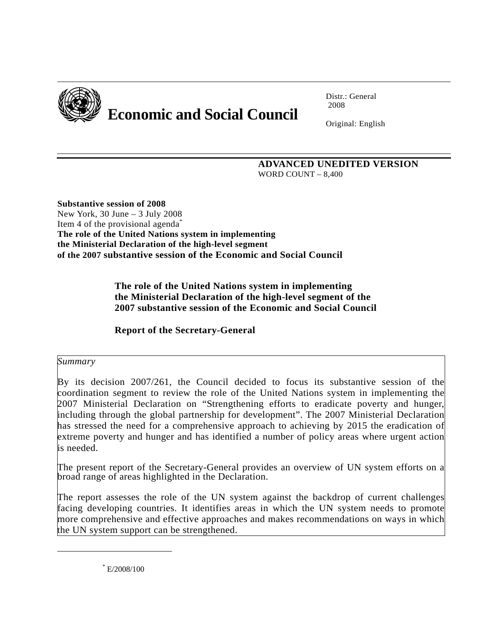

# **Economic and Social Council**

Distr.: General 2008

Original: English

 **ADVANCED UNEDITED VERSION**  WORD COUNT – 8,400

**Substantive session of 2008**  New York, 30 June – 3 July 2008 Item 4 of the provisional agenda<sup>[\\*](#page-0-0)</sup> **The role of the United Nations system in implementing the Ministerial Declaration of the high-level segment of the 2007 substantive session of the Economic and Social Council** 

> **The role of the United Nations system in implementing the Ministerial Declaration of the high-level segment of the 2007 substantive session of the Economic and Social Council**

**Report of the Secretary-General** 

# *Summary*

l

By its decision 2007/261, the Council decided to focus its substantive session of the coordination segment to review the role of the United Nations system in implementing the 2007 Ministerial Declaration on "Strengthening efforts to eradicate poverty and hunger, including through the global partnership for development". The 2007 Ministerial Declaration has stressed the need for a comprehensive approach to achieving by 2015 the eradication of extreme poverty and hunger and has identified a number of policy areas where urgent action is needed.

The present report of the Secretary-General provides an overview of UN system efforts on a broad range of areas highlighted in the Declaration.

The report assesses the role of the UN system against the backdrop of current challenges facing developing countries. It identifies areas in which the UN system needs to promote more comprehensive and effective approaches and makes recommendations on ways in which the UN system support can be strengthened.

<span id="page-0-0"></span>\* E/2008/100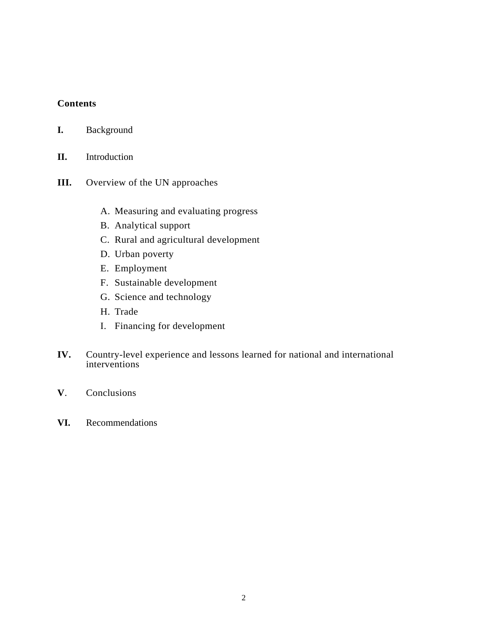# **Contents**

| <b>Background</b><br>I. |  |
|-------------------------|--|
|-------------------------|--|

- **II.** Introduction
- **III.** Overview of the UN approaches
	- A. Measuring and evaluating progress
	- B. Analytical support
	- C. Rural and agricultural development
	- D. Urban poverty
	- E. Employment
	- F. Sustainable development
	- G. Science and technology
	- H. Trade
	- I. Financing for development
- **IV.** Country-level experience and lessons learned for national and international interventions
- **V**. Conclusions
- **VI.** Recommendations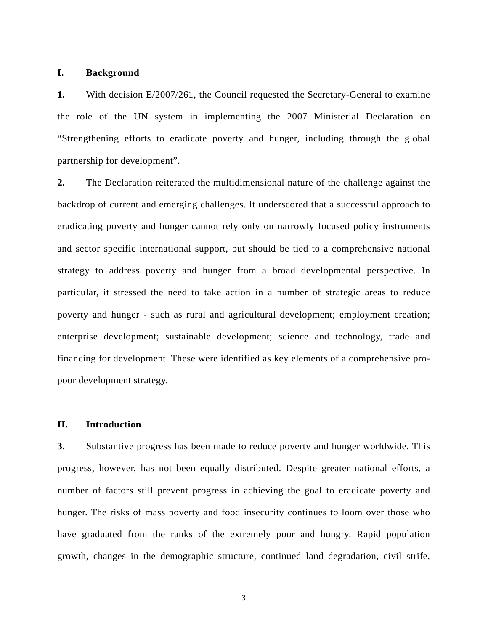### **I. Background**

**1.** With decision E/2007/261, the Council requested the Secretary-General to examine the role of the UN system in implementing the 2007 Ministerial Declaration on "Strengthening efforts to eradicate poverty and hunger, including through the global partnership for development".

**2.** The Declaration reiterated the multidimensional nature of the challenge against the backdrop of current and emerging challenges. It underscored that a successful approach to eradicating poverty and hunger cannot rely only on narrowly focused policy instruments and sector specific international support, but should be tied to a comprehensive national strategy to address poverty and hunger from a broad developmental perspective. In particular, it stressed the need to take action in a number of strategic areas to reduce poverty and hunger - such as rural and agricultural development; employment creation; enterprise development; sustainable development; science and technology, trade and financing for development. These were identified as key elements of a comprehensive propoor development strategy.

### **II. Introduction**

**3.** Substantive progress has been made to reduce poverty and hunger worldwide. This progress, however, has not been equally distributed. Despite greater national efforts, a number of factors still prevent progress in achieving the goal to eradicate poverty and hunger. The risks of mass poverty and food insecurity continues to loom over those who have graduated from the ranks of the extremely poor and hungry. Rapid population growth, changes in the demographic structure, continued land degradation, civil strife,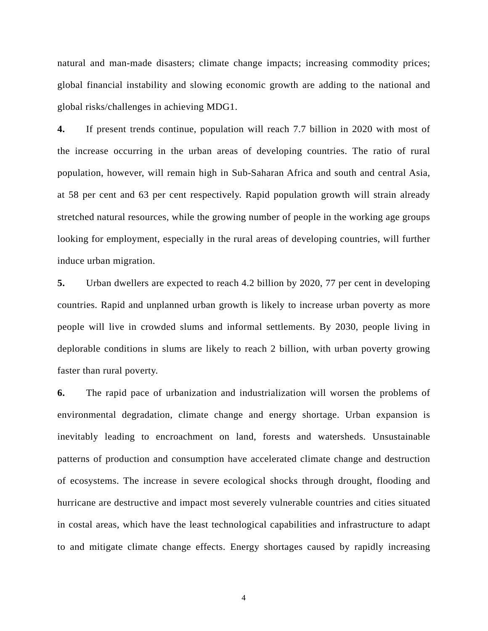natural and man-made disasters; climate change impacts; increasing commodity prices; global financial instability and slowing economic growth are adding to the national and global risks/challenges in achieving MDG1.

**4.** If present trends continue, population will reach 7.7 billion in 2020 with most of the increase occurring in the urban areas of developing countries. The ratio of rural population, however, will remain high in Sub-Saharan Africa and south and central Asia, at 58 per cent and 63 per cent respectively. Rapid population growth will strain already stretched natural resources, while the growing number of people in the working age groups looking for employment, especially in the rural areas of developing countries, will further induce urban migration.

**5.** Urban dwellers are expected to reach 4.2 billion by 2020, 77 per cent in developing countries. Rapid and unplanned urban growth is likely to increase urban poverty as more people will live in crowded slums and informal settlements. By 2030, people living in deplorable conditions in slums are likely to reach 2 billion, with urban poverty growing faster than rural poverty.

**6.** The rapid pace of urbanization and industrialization will worsen the problems of environmental degradation, climate change and energy shortage. Urban expansion is inevitably leading to encroachment on land, forests and watersheds. Unsustainable patterns of production and consumption have accelerated climate change and destruction of ecosystems. The increase in severe ecological shocks through drought, flooding and hurricane are destructive and impact most severely vulnerable countries and cities situated in costal areas, which have the least technological capabilities and infrastructure to adapt to and mitigate climate change effects. Energy shortages caused by rapidly increasing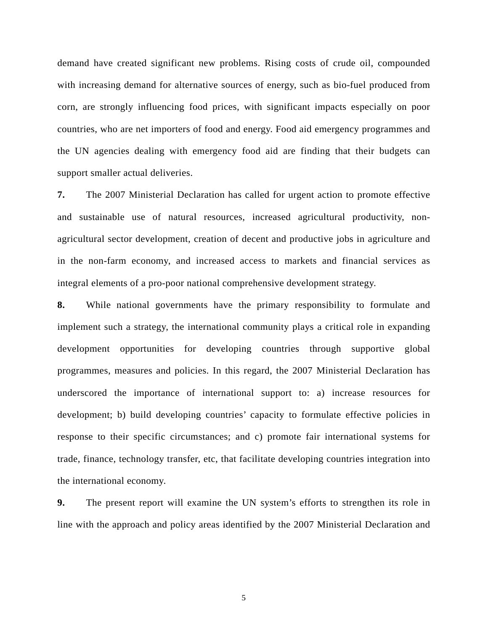demand have created significant new problems. Rising costs of crude oil, compounded with increasing demand for alternative sources of energy, such as bio-fuel produced from corn, are strongly influencing food prices, with significant impacts especially on poor countries, who are net importers of food and energy. Food aid emergency programmes and the UN agencies dealing with emergency food aid are finding that their budgets can support smaller actual deliveries.

**7.** The 2007 Ministerial Declaration has called for urgent action to promote effective and sustainable use of natural resources, increased agricultural productivity, nonagricultural sector development, creation of decent and productive jobs in agriculture and in the non-farm economy, and increased access to markets and financial services as integral elements of a pro-poor national comprehensive development strategy.

**8.** While national governments have the primary responsibility to formulate and implement such a strategy, the international community plays a critical role in expanding development opportunities for developing countries through supportive global programmes, measures and policies. In this regard, the 2007 Ministerial Declaration has underscored the importance of international support to: a) increase resources for development; b) build developing countries' capacity to formulate effective policies in response to their specific circumstances; and c) promote fair international systems for trade, finance, technology transfer, etc, that facilitate developing countries integration into the international economy.

**9.** The present report will examine the UN system's efforts to strengthen its role in line with the approach and policy areas identified by the 2007 Ministerial Declaration and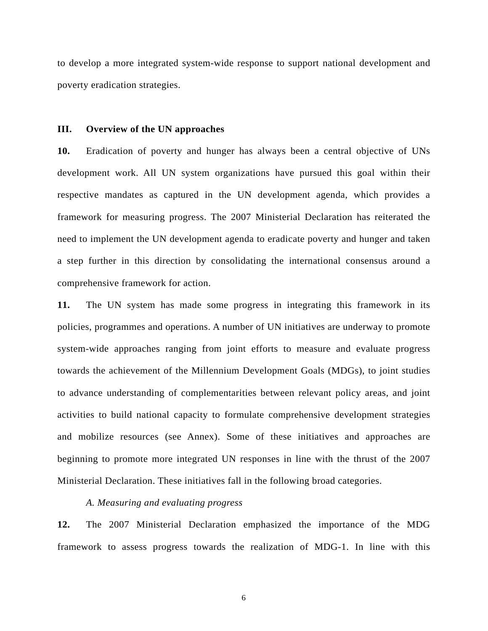to develop a more integrated system-wide response to support national development and poverty eradication strategies.

### **III. Overview of the UN approaches**

**10.** Eradication of poverty and hunger has always been a central objective of UNs development work. All UN system organizations have pursued this goal within their respective mandates as captured in the UN development agenda, which provides a framework for measuring progress. The 2007 Ministerial Declaration has reiterated the need to implement the UN development agenda to eradicate poverty and hunger and taken a step further in this direction by consolidating the international consensus around a comprehensive framework for action.

**11.** The UN system has made some progress in integrating this framework in its policies, programmes and operations. A number of UN initiatives are underway to promote system-wide approaches ranging from joint efforts to measure and evaluate progress towards the achievement of the Millennium Development Goals (MDGs), to joint studies to advance understanding of complementarities between relevant policy areas, and joint activities to build national capacity to formulate comprehensive development strategies and mobilize resources (see Annex). Some of these initiatives and approaches are beginning to promote more integrated UN responses in line with the thrust of the 2007 Ministerial Declaration. These initiatives fall in the following broad categories.

### *A. Measuring and evaluating progress*

**12.** The 2007 Ministerial Declaration emphasized the importance of the MDG framework to assess progress towards the realization of MDG-1. In line with this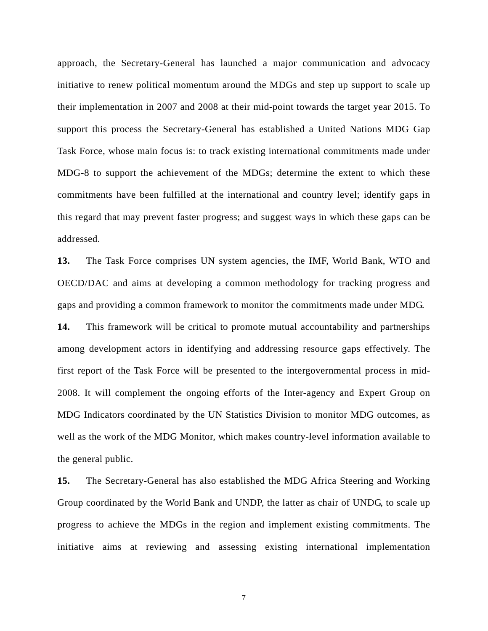approach, the Secretary-General has launched a major communication and advocacy initiative to renew political momentum around the MDGs and step up support to scale up their implementation in 2007 and 2008 at their mid-point towards the target year 2015. To support this process the Secretary-General has established a United Nations MDG Gap Task Force, whose main focus is: to track existing international commitments made under MDG-8 to support the achievement of the MDGs; determine the extent to which these commitments have been fulfilled at the international and country level; identify gaps in this regard that may prevent faster progress; and suggest ways in which these gaps can be addressed.

**13.** The Task Force comprises UN system agencies, the IMF, World Bank, WTO and OECD/DAC and aims at developing a common methodology for tracking progress and gaps and providing a common framework to monitor the commitments made under MDG.

**14.** This framework will be critical to promote mutual accountability and partnerships among development actors in identifying and addressing resource gaps effectively. The first report of the Task Force will be presented to the intergovernmental process in mid-2008. It will complement the ongoing efforts of the Inter-agency and Expert Group on MDG Indicators coordinated by the UN Statistics Division to monitor MDG outcomes, as well as the work of the MDG Monitor, which makes country-level information available to the general public.

**15.** The Secretary-General has also established the MDG Africa Steering and Working Group coordinated by the World Bank and UNDP, the latter as chair of UNDG, to scale up progress to achieve the MDGs in the region and implement existing commitments. The initiative aims at reviewing and assessing existing international implementation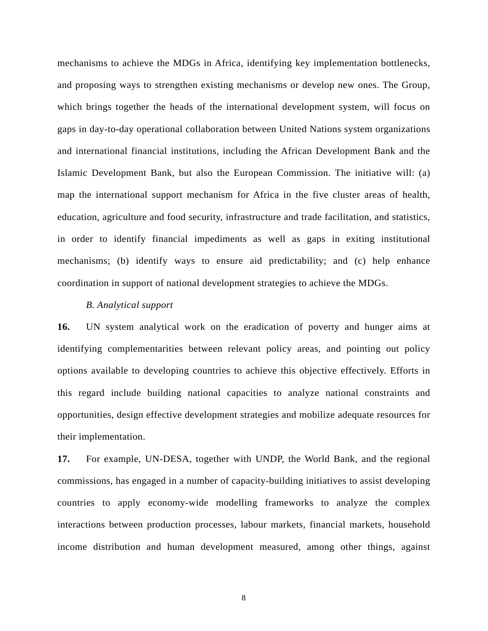mechanisms to achieve the MDGs in Africa, identifying key implementation bottlenecks, and proposing ways to strengthen existing mechanisms or develop new ones. The Group, which brings together the heads of the international development system, will focus on gaps in day-to-day operational collaboration between United Nations system organizations and international financial institutions, including the African Development Bank and the Islamic Development Bank, but also the European Commission. The initiative will: (a) map the international support mechanism for Africa in the five cluster areas of health, education, agriculture and food security, infrastructure and trade facilitation, and statistics, in order to identify financial impediments as well as gaps in exiting institutional mechanisms; (b) identify ways to ensure aid predictability; and (c) help enhance coordination in support of national development strategies to achieve the MDGs.

### *B. Analytical support*

**16.** UN system analytical work on the eradication of poverty and hunger aims at identifying complementarities between relevant policy areas, and pointing out policy options available to developing countries to achieve this objective effectively. Efforts in this regard include building national capacities to analyze national constraints and opportunities, design effective development strategies and mobilize adequate resources for their implementation.

**17.** For example, UN-DESA, together with UNDP, the World Bank, and the regional commissions, has engaged in a number of capacity-building initiatives to assist developing countries to apply economy-wide modelling frameworks to analyze the complex interactions between production processes, labour markets, financial markets, household income distribution and human development measured, among other things, against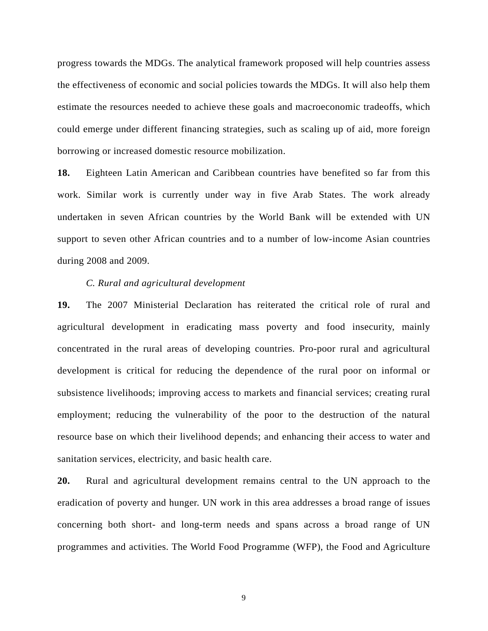progress towards the MDGs. The analytical framework proposed will help countries assess the effectiveness of economic and social policies towards the MDGs. It will also help them estimate the resources needed to achieve these goals and macroeconomic tradeoffs, which could emerge under different financing strategies, such as scaling up of aid, more foreign borrowing or increased domestic resource mobilization.

**18.** Eighteen Latin American and Caribbean countries have benefited so far from this work. Similar work is currently under way in five Arab States. The work already undertaken in seven African countries by the World Bank will be extended with UN support to seven other African countries and to a number of low-income Asian countries during 2008 and 2009.

### *C. Rural and agricultural development*

**19.** The 2007 Ministerial Declaration has reiterated the critical role of rural and agricultural development in eradicating mass poverty and food insecurity, mainly concentrated in the rural areas of developing countries. Pro-poor rural and agricultural development is critical for reducing the dependence of the rural poor on informal or subsistence livelihoods; improving access to markets and financial services; creating rural employment; reducing the vulnerability of the poor to the destruction of the natural resource base on which their livelihood depends; and enhancing their access to water and sanitation services, electricity, and basic health care.

**20.** Rural and agricultural development remains central to the UN approach to the eradication of poverty and hunger. UN work in this area addresses a broad range of issues concerning both short- and long-term needs and spans across a broad range of UN programmes and activities. The World Food Programme (WFP), the Food and Agriculture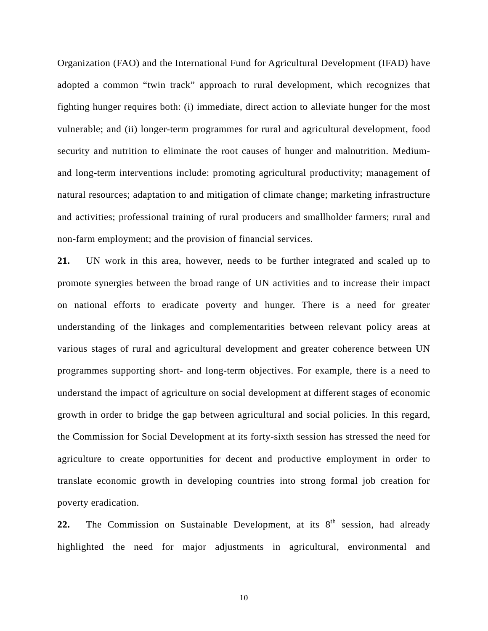Organization (FAO) and the International Fund for Agricultural Development (IFAD) have adopted a common "twin track" approach to rural development, which recognizes that fighting hunger requires both: (i) immediate, direct action to alleviate hunger for the most vulnerable; and (ii) longer-term programmes for rural and agricultural development, food security and nutrition to eliminate the root causes of hunger and malnutrition. Mediumand long-term interventions include: promoting agricultural productivity; management of natural resources; adaptation to and mitigation of climate change; marketing infrastructure and activities; professional training of rural producers and smallholder farmers; rural and non-farm employment; and the provision of financial services.

**21.** UN work in this area, however, needs to be further integrated and scaled up to promote synergies between the broad range of UN activities and to increase their impact on national efforts to eradicate poverty and hunger. There is a need for greater understanding of the linkages and complementarities between relevant policy areas at various stages of rural and agricultural development and greater coherence between UN programmes supporting short- and long-term objectives. For example, there is a need to understand the impact of agriculture on social development at different stages of economic growth in order to bridge the gap between agricultural and social policies. In this regard, the Commission for Social Development at its forty-sixth session has stressed the need for agriculture to create opportunities for decent and productive employment in order to translate economic growth in developing countries into strong formal job creation for poverty eradication.

**22.** The Commission on Sustainable Development, at its  $8<sup>th</sup>$  session, had already highlighted the need for major adjustments in agricultural, environmental and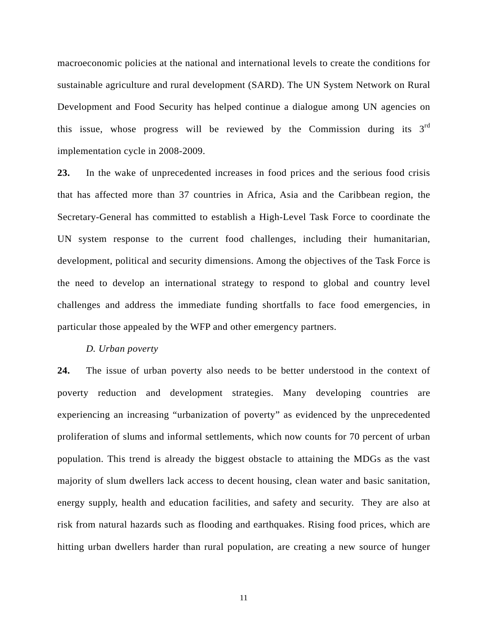macroeconomic policies at the national and international levels to create the conditions for sustainable agriculture and rural development (SARD). The UN System Network on Rural Development and Food Security has helped continue a dialogue among UN agencies on this issue, whose progress will be reviewed by the Commission during its  $3<sup>rd</sup>$ implementation cycle in 2008-2009.

**23.** In the wake of unprecedented increases in food prices and the serious food crisis that has affected more than 37 countries in Africa, Asia and the Caribbean region, the Secretary-General has committed to establish a High-Level Task Force to coordinate the UN system response to the current food challenges, including their humanitarian, development, political and security dimensions. Among the objectives of the Task Force is the need to develop an international strategy to respond to global and country level challenges and address the immediate funding shortfalls to face food emergencies, in particular those appealed by the WFP and other emergency partners.

### *D. Urban poverty*

**24.** The issue of urban poverty also needs to be better understood in the context of poverty reduction and development strategies. Many developing countries are experiencing an increasing "urbanization of poverty" as evidenced by the unprecedented proliferation of slums and informal settlements, which now counts for 70 percent of urban population. This trend is already the biggest obstacle to attaining the MDGs as the vast majority of slum dwellers lack access to decent housing, clean water and basic sanitation, energy supply, health and education facilities, and safety and security. They are also at risk from natural hazards such as flooding and earthquakes. Rising food prices, which are hitting urban dwellers harder than rural population, are creating a new source of hunger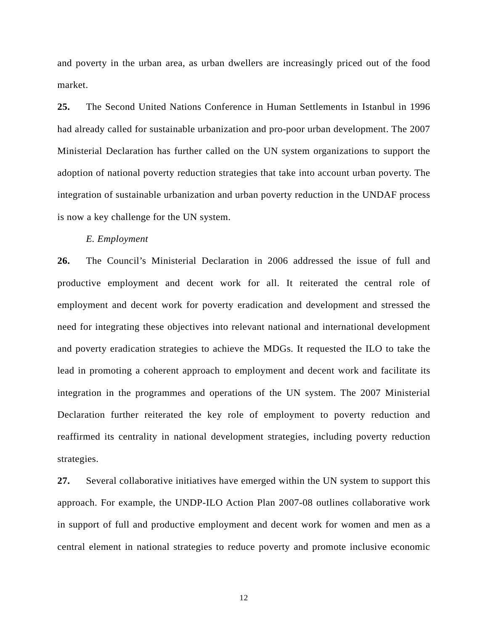and poverty in the urban area, as urban dwellers are increasingly priced out of the food market.

**25.** The Second United Nations Conference in Human Settlements in Istanbul in 1996 had already called for sustainable urbanization and pro-poor urban development. The 2007 Ministerial Declaration has further called on the UN system organizations to support the adoption of national poverty reduction strategies that take into account urban poverty. The integration of sustainable urbanization and urban poverty reduction in the UNDAF process is now a key challenge for the UN system.

### *E. Employment*

**26.** The Council's Ministerial Declaration in 2006 addressed the issue of full and productive employment and decent work for all. It reiterated the central role of employment and decent work for poverty eradication and development and stressed the need for integrating these objectives into relevant national and international development and poverty eradication strategies to achieve the MDGs. It requested the ILO to take the lead in promoting a coherent approach to employment and decent work and facilitate its integration in the programmes and operations of the UN system. The 2007 Ministerial Declaration further reiterated the key role of employment to poverty reduction and reaffirmed its centrality in national development strategies, including poverty reduction strategies.

**27.** Several collaborative initiatives have emerged within the UN system to support this approach. For example, the UNDP-ILO Action Plan 2007-08 outlines collaborative work in support of full and productive employment and decent work for women and men as a central element in national strategies to reduce poverty and promote inclusive economic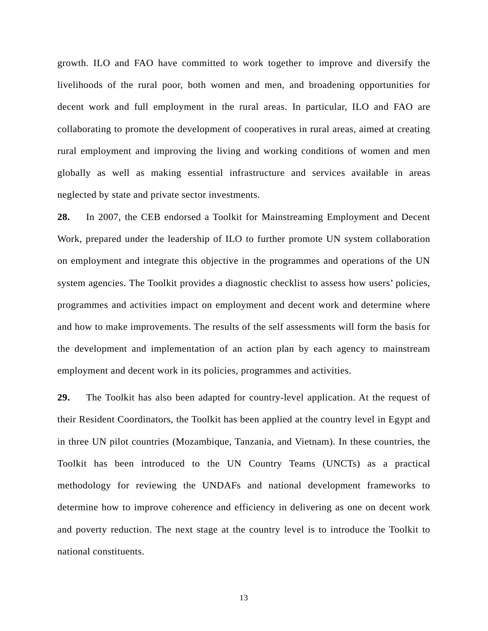growth. ILO and FAO have committed to work together to improve and diversify the livelihoods of the rural poor, both women and men, and broadening opportunities for decent work and full employment in the rural areas. In particular, ILO and FAO are collaborating to promote the development of cooperatives in rural areas, aimed at creating rural employment and improving the living and working conditions of women and men globally as well as making essential infrastructure and services available in areas neglected by state and private sector investments.

**28.** In 2007, the CEB endorsed a Toolkit for Mainstreaming Employment and Decent Work, prepared under the leadership of ILO to further promote UN system collaboration on employment and integrate this objective in the programmes and operations of the UN system agencies. The Toolkit provides a diagnostic checklist to assess how users' policies, programmes and activities impact on employment and decent work and determine where and how to make improvements. The results of the self assessments will form the basis for the development and implementation of an action plan by each agency to mainstream employment and decent work in its policies, programmes and activities.

**29.** The Toolkit has also been adapted for country-level application. At the request of their Resident Coordinators, the Toolkit has been applied at the country level in Egypt and in three UN pilot countries (Mozambique, Tanzania, and Vietnam). In these countries, the Toolkit has been introduced to the UN Country Teams (UNCTs) as a practical methodology for reviewing the UNDAFs and national development frameworks to determine how to improve coherence and efficiency in delivering as one on decent work and poverty reduction. The next stage at the country level is to introduce the Toolkit to national constituents.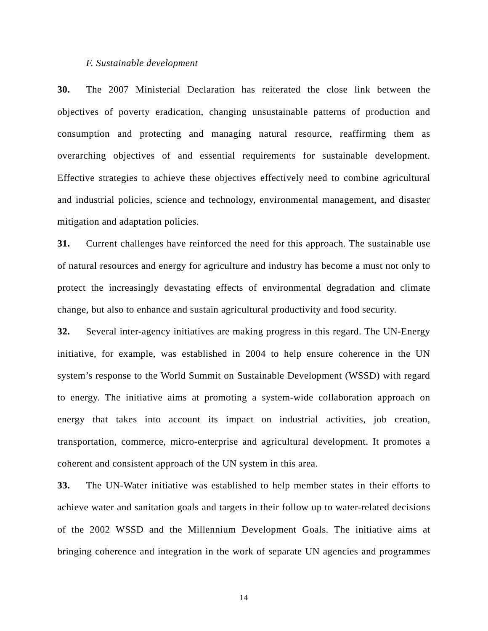### *F. Sustainable development*

**30.** The 2007 Ministerial Declaration has reiterated the close link between the objectives of poverty eradication, changing unsustainable patterns of production and consumption and protecting and managing natural resource, reaffirming them as overarching objectives of and essential requirements for sustainable development. Effective strategies to achieve these objectives effectively need to combine agricultural and industrial policies, science and technology, environmental management, and disaster mitigation and adaptation policies.

**31.** Current challenges have reinforced the need for this approach. The sustainable use of natural resources and energy for agriculture and industry has become a must not only to protect the increasingly devastating effects of environmental degradation and climate change, but also to enhance and sustain agricultural productivity and food security.

**32.** Several inter-agency initiatives are making progress in this regard. The UN-Energy initiative, for example, was established in 2004 to help ensure coherence in the UN system's response to the World Summit on Sustainable Development (WSSD) with regard to energy. The initiative aims at promoting a system-wide collaboration approach on energy that takes into account its impact on industrial activities, job creation, transportation, commerce, micro-enterprise and agricultural development. It promotes a coherent and consistent approach of the UN system in this area.

**33.** The UN-Water initiative was established to help member states in their efforts to achieve water and sanitation goals and targets in their follow up to water-related decisions of the 2002 WSSD and the Millennium Development Goals. The initiative aims at bringing coherence and integration in the work of separate UN agencies and programmes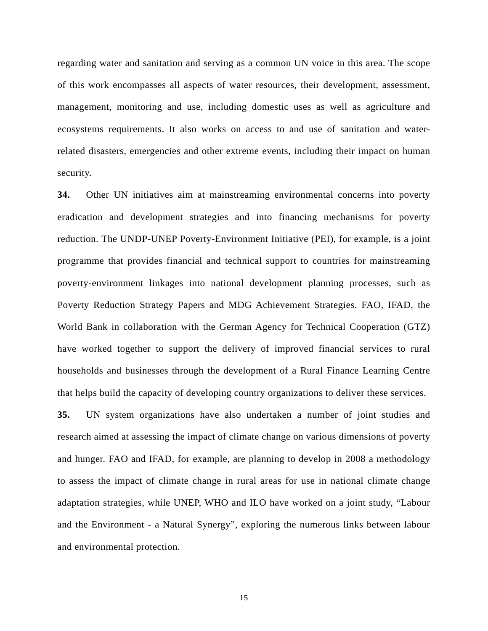regarding water and sanitation and serving as a common UN voice in this area. The scope of this work encompasses all aspects of water resources, their development, assessment, management, monitoring and use, including domestic uses as well as agriculture and ecosystems requirements. It also works on access to and use of sanitation and waterrelated disasters, emergencies and other extreme events, including their impact on human security.

**34.** Other UN initiatives aim at mainstreaming environmental concerns into poverty eradication and development strategies and into financing mechanisms for poverty reduction. The UNDP-UNEP Poverty-Environment Initiative (PEI), for example, is a joint programme that provides financial and technical support to countries for mainstreaming poverty-environment linkages into national development planning processes, such as Poverty Reduction Strategy Papers and MDG Achievement Strategies. FAO, IFAD, the World Bank in collaboration with the German Agency for Technical Cooperation (GTZ) have worked together to support the delivery of improved financial services to rural households and businesses through the development of a Rural Finance Learning Centre that helps build the capacity of developing country organizations to deliver these services.

**35.** UN system organizations have also undertaken a number of joint studies and research aimed at assessing the impact of climate change on various dimensions of poverty and hunger. FAO and IFAD, for example, are planning to develop in 2008 a methodology to assess the impact of climate change in rural areas for use in national climate change adaptation strategies, while UNEP, WHO and ILO have worked on a joint study, "Labour and the Environment - a Natural Synergy", exploring the numerous links between labour and environmental protection.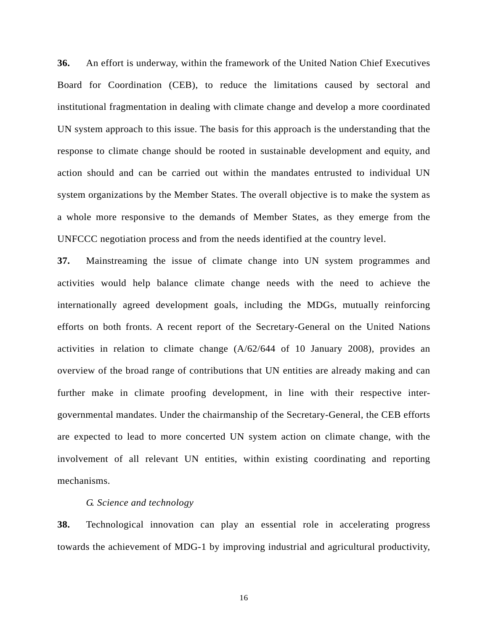**36.** An effort is underway, within the framework of the United Nation Chief Executives Board for Coordination (CEB), to reduce the limitations caused by sectoral and institutional fragmentation in dealing with climate change and develop a more coordinated UN system approach to this issue. The basis for this approach is the understanding that the response to climate change should be rooted in sustainable development and equity, and action should and can be carried out within the mandates entrusted to individual UN system organizations by the Member States. The overall objective is to make the system as a whole more responsive to the demands of Member States, as they emerge from the UNFCCC negotiation process and from the needs identified at the country level.

**37.** Mainstreaming the issue of climate change into UN system programmes and activities would help balance climate change needs with the need to achieve the internationally agreed development goals, including the MDGs, mutually reinforcing efforts on both fronts. A recent report of the Secretary-General on the United Nations activities in relation to climate change (A/62/644 of 10 January 2008), provides an overview of the broad range of contributions that UN entities are already making and can further make in climate proofing development, in line with their respective intergovernmental mandates. Under the chairmanship of the Secretary-General, the CEB efforts are expected to lead to more concerted UN system action on climate change, with the involvement of all relevant UN entities, within existing coordinating and reporting mechanisms.

### *G. Science and technology*

**38.** Technological innovation can play an essential role in accelerating progress towards the achievement of MDG-1 by improving industrial and agricultural productivity,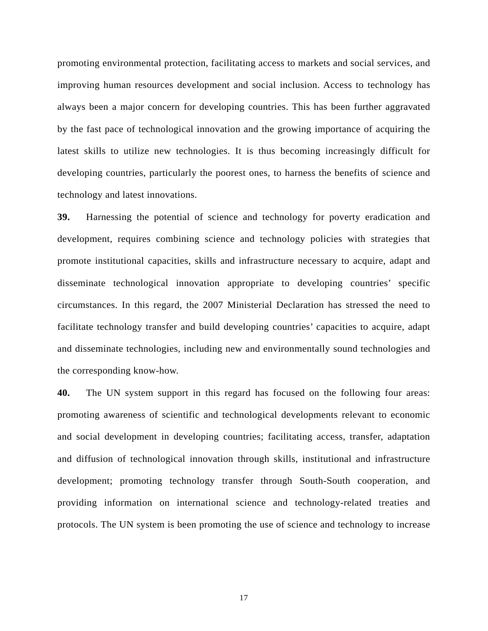promoting environmental protection, facilitating access to markets and social services, and improving human resources development and social inclusion. Access to technology has always been a major concern for developing countries. This has been further aggravated by the fast pace of technological innovation and the growing importance of acquiring the latest skills to utilize new technologies. It is thus becoming increasingly difficult for developing countries, particularly the poorest ones, to harness the benefits of science and technology and latest innovations.

**39.** Harnessing the potential of science and technology for poverty eradication and development, requires combining science and technology policies with strategies that promote institutional capacities, skills and infrastructure necessary to acquire, adapt and disseminate technological innovation appropriate to developing countries' specific circumstances. In this regard, the 2007 Ministerial Declaration has stressed the need to facilitate technology transfer and build developing countries' capacities to acquire, adapt and disseminate technologies, including new and environmentally sound technologies and the corresponding know-how.

**40.** The UN system support in this regard has focused on the following four areas: promoting awareness of scientific and technological developments relevant to economic and social development in developing countries; facilitating access, transfer, adaptation and diffusion of technological innovation through skills, institutional and infrastructure development; promoting technology transfer through South-South cooperation, and providing information on international science and technology-related treaties and protocols. The UN system is been promoting the use of science and technology to increase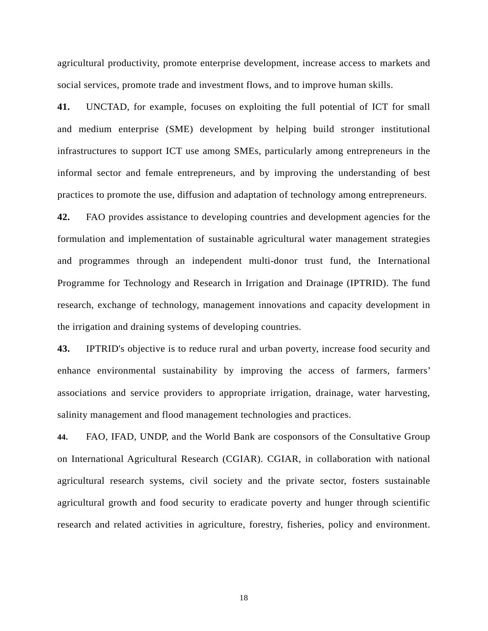agricultural productivity, promote enterprise development, increase access to markets and social services, promote trade and investment flows, and to improve human skills.

**41.** UNCTAD, for example, focuses on exploiting the full potential of ICT for small and medium enterprise (SME) development by helping build stronger institutional infrastructures to support ICT use among SMEs, particularly among entrepreneurs in the informal sector and female entrepreneurs, and by improving the understanding of best practices to promote the use, diffusion and adaptation of technology among entrepreneurs.

**42.** FAO provides assistance to developing countries and development agencies for the formulation and implementation of sustainable agricultural water management strategies and programmes through an independent multi-donor trust fund, the International Programme for Technology and Research in Irrigation and Drainage (IPTRID). The fund research, exchange of technology, management innovations and capacity development in the irrigation and draining systems of developing countries.

**43.** IPTRID's objective is to reduce rural and urban poverty, increase food security and enhance environmental sustainability by improving the access of farmers, farmers' associations and service providers to appropriate irrigation, drainage, water harvesting, salinity management and flood management technologies and practices.

**44.** FAO, IFAD, UNDP, and the World Bank are cosponsors of the Consultative Group on International Agricultural Research (CGIAR). CGIAR, in collaboration with national agricultural research systems, civil society and the private sector, fosters sustainable agricultural growth and food security to eradicate poverty and hunger through scientific research and related activities in agriculture, forestry, fisheries, policy and environment.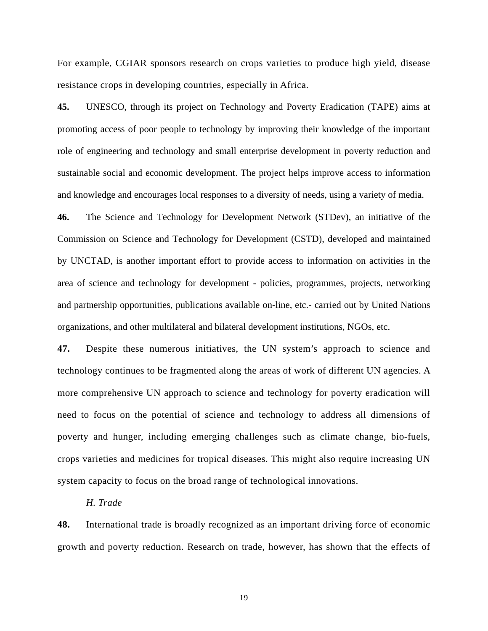For example, CGIAR sponsors research on crops varieties to produce high yield, disease resistance crops in developing countries, especially in Africa.

**45.** UNESCO, through its project on Technology and Poverty Eradication (TAPE) aims at promoting access of poor people to technology by improving their knowledge of the important role of engineering and technology and small enterprise development in poverty reduction and sustainable social and economic development. The project helps improve access to information and knowledge and encourages local responses to a diversity of needs, using a variety of media.

**46.** The Science and Technology for Development Network (STDev), an initiative of the Commission on Science and Technology for Development (CSTD), developed and maintained by UNCTAD, is another important effort to provide access to information on activities in the area of science and technology for development - policies, programmes, projects, networking and partnership opportunities, publications available on-line, etc.- carried out by United Nations organizations, and other multilateral and bilateral development institutions, NGOs, etc.

**47.** Despite these numerous initiatives, the UN system's approach to science and technology continues to be fragmented along the areas of work of different UN agencies. A more comprehensive UN approach to science and technology for poverty eradication will need to focus on the potential of science and technology to address all dimensions of poverty and hunger, including emerging challenges such as climate change, bio-fuels, crops varieties and medicines for tropical diseases. This might also require increasing UN system capacity to focus on the broad range of technological innovations.

### *H. Trade*

**48.** International trade is broadly recognized as an important driving force of economic growth and poverty reduction. Research on trade, however, has shown that the effects of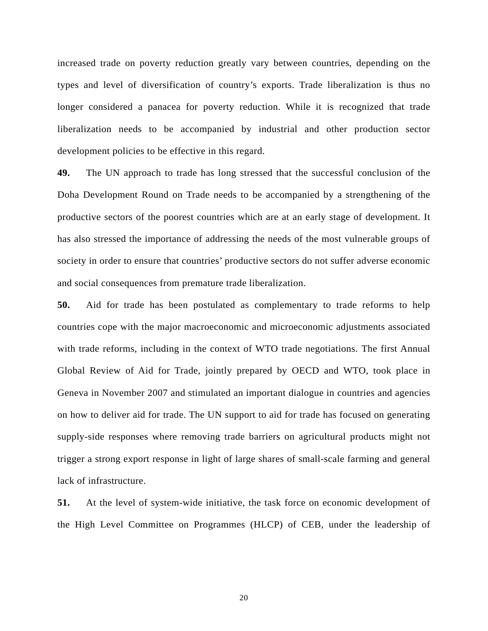increased trade on poverty reduction greatly vary between countries, depending on the types and level of diversification of country's exports. Trade liberalization is thus no longer considered a panacea for poverty reduction. While it is recognized that trade liberalization needs to be accompanied by industrial and other production sector development policies to be effective in this regard.

**49.** The UN approach to trade has long stressed that the successful conclusion of the Doha Development Round on Trade needs to be accompanied by a strengthening of the productive sectors of the poorest countries which are at an early stage of development. It has also stressed the importance of addressing the needs of the most vulnerable groups of society in order to ensure that countries' productive sectors do not suffer adverse economic and social consequences from premature trade liberalization.

**50.** Aid for trade has been postulated as complementary to trade reforms to help countries cope with the major macroeconomic and microeconomic adjustments associated with trade reforms, including in the context of WTO trade negotiations. The first Annual Global Review of Aid for Trade, jointly prepared by OECD and WTO, took place in Geneva in November 2007 and stimulated an important dialogue in countries and agencies on how to deliver aid for trade. The UN support to aid for trade has focused on generating supply-side responses where removing trade barriers on agricultural products might not trigger a strong export response in light of large shares of small-scale farming and general lack of infrastructure.

**51.** At the level of system-wide initiative, the task force on economic development of the High Level Committee on Programmes (HLCP) of CEB, under the leadership of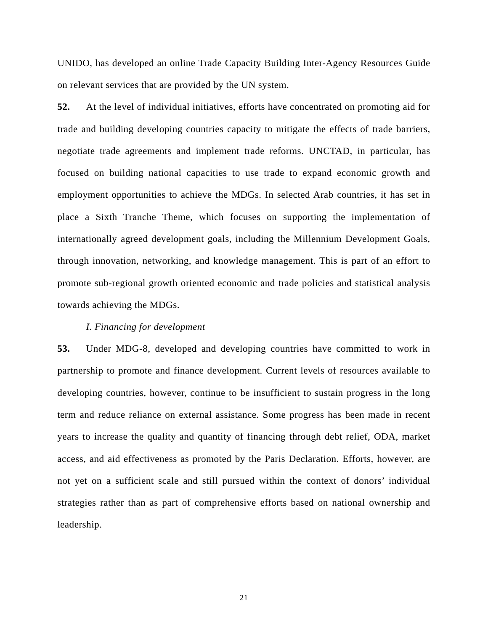UNIDO, has developed an online Trade Capacity Building Inter-Agency Resources Guide on relevant services that are provided by the UN system.

**52.** At the level of individual initiatives, efforts have concentrated on promoting aid for trade and building developing countries capacity to mitigate the effects of trade barriers, negotiate trade agreements and implement trade reforms. UNCTAD, in particular, has focused on building national capacities to use trade to expand economic growth and employment opportunities to achieve the MDGs. In selected Arab countries, it has set in place a Sixth Tranche Theme, which focuses on supporting the implementation of internationally agreed development goals, including the Millennium Development Goals, through innovation, networking, and knowledge management. This is part of an effort to promote sub-regional growth oriented economic and trade policies and statistical analysis towards achieving the MDGs.

### *I. Financing for development*

**53.** Under MDG-8, developed and developing countries have committed to work in partnership to promote and finance development. Current levels of resources available to developing countries, however, continue to be insufficient to sustain progress in the long term and reduce reliance on external assistance. Some progress has been made in recent years to increase the quality and quantity of financing through debt relief, ODA, market access, and aid effectiveness as promoted by the Paris Declaration. Efforts, however, are not yet on a sufficient scale and still pursued within the context of donors' individual strategies rather than as part of comprehensive efforts based on national ownership and leadership.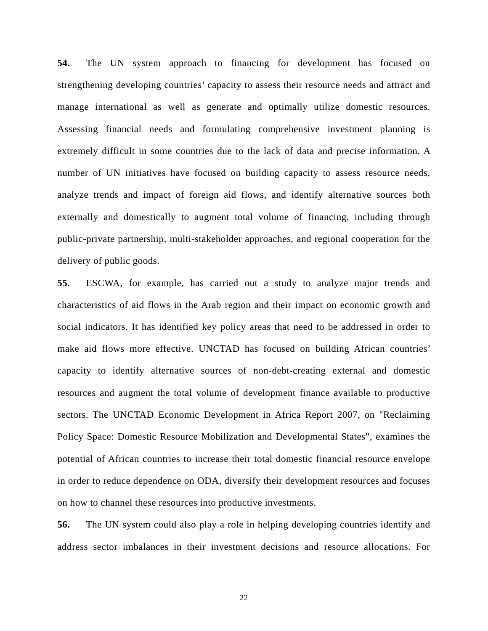**54.** The UN system approach to financing for development has focused on strengthening developing countries' capacity to assess their resource needs and attract and manage international as well as generate and optimally utilize domestic resources. Assessing financial needs and formulating comprehensive investment planning is extremely difficult in some countries due to the lack of data and precise information. A number of UN initiatives have focused on building capacity to assess resource needs, analyze trends and impact of foreign aid flows, and identify alternative sources both externally and domestically to augment total volume of financing, including through public-private partnership, multi-stakeholder approaches, and regional cooperation for the delivery of public goods.

**55.** ESCWA, for example, has carried out a study to analyze major trends and characteristics of aid flows in the Arab region and their impact on economic growth and social indicators. It has identified key policy areas that need to be addressed in order to make aid flows more effective. UNCTAD has focused on building African countries' capacity to identify alternative sources of non-debt-creating external and domestic resources and augment the total volume of development finance available to productive sectors. The UNCTAD Economic Development in Africa Report 2007, on "Reclaiming Policy Space: Domestic Resource Mobilization and Developmental States", examines the potential of African countries to increase their total domestic financial resource envelope in order to reduce dependence on ODA, diversify their development resources and focuses on how to channel these resources into productive investments.

**56.** The UN system could also play a role in helping developing countries identify and address sector imbalances in their investment decisions and resource allocations. For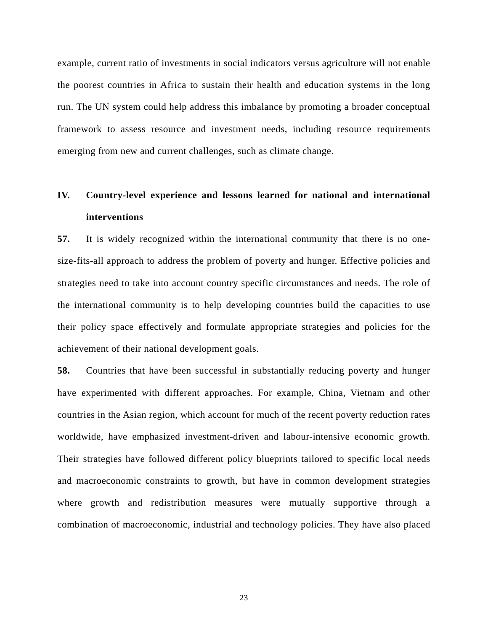example, current ratio of investments in social indicators versus agriculture will not enable the poorest countries in Africa to sustain their health and education systems in the long run. The UN system could help address this imbalance by promoting a broader conceptual framework to assess resource and investment needs, including resource requirements emerging from new and current challenges, such as climate change.

# **IV. Country-level experience and lessons learned for national and international interventions**

**57.** It is widely recognized within the international community that there is no onesize-fits-all approach to address the problem of poverty and hunger. Effective policies and strategies need to take into account country specific circumstances and needs. The role of the international community is to help developing countries build the capacities to use their policy space effectively and formulate appropriate strategies and policies for the achievement of their national development goals.

**58.** Countries that have been successful in substantially reducing poverty and hunger have experimented with different approaches. For example, China, Vietnam and other countries in the Asian region, which account for much of the recent poverty reduction rates worldwide, have emphasized investment-driven and labour-intensive economic growth. Their strategies have followed different policy blueprints tailored to specific local needs and macroeconomic constraints to growth, but have in common development strategies where growth and redistribution measures were mutually supportive through a combination of macroeconomic, industrial and technology policies. They have also placed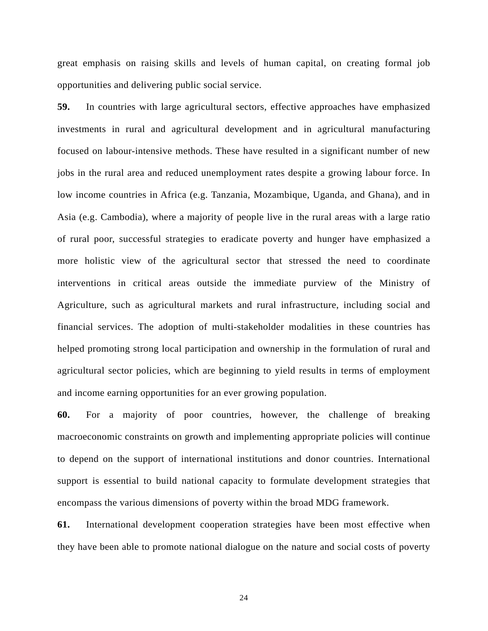great emphasis on raising skills and levels of human capital, on creating formal job opportunities and delivering public social service.

**59.** In countries with large agricultural sectors, effective approaches have emphasized investments in rural and agricultural development and in agricultural manufacturing focused on labour-intensive methods. These have resulted in a significant number of new jobs in the rural area and reduced unemployment rates despite a growing labour force. In low income countries in Africa (e.g. Tanzania, Mozambique, Uganda, and Ghana), and in Asia (e.g. Cambodia), where a majority of people live in the rural areas with a large ratio of rural poor, successful strategies to eradicate poverty and hunger have emphasized a more holistic view of the agricultural sector that stressed the need to coordinate interventions in critical areas outside the immediate purview of the Ministry of Agriculture, such as agricultural markets and rural infrastructure, including social and financial services. The adoption of multi-stakeholder modalities in these countries has helped promoting strong local participation and ownership in the formulation of rural and agricultural sector policies, which are beginning to yield results in terms of employment and income earning opportunities for an ever growing population.

**60.** For a majority of poor countries, however, the challenge of breaking macroeconomic constraints on growth and implementing appropriate policies will continue to depend on the support of international institutions and donor countries. International support is essential to build national capacity to formulate development strategies that encompass the various dimensions of poverty within the broad MDG framework.

**61.** International development cooperation strategies have been most effective when they have been able to promote national dialogue on the nature and social costs of poverty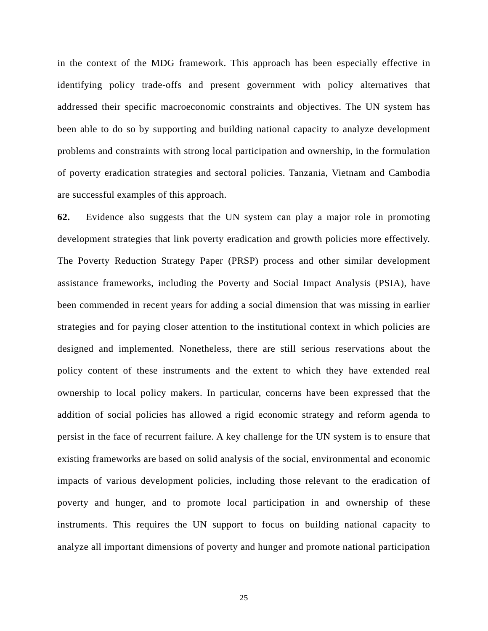in the context of the MDG framework. This approach has been especially effective in identifying policy trade-offs and present government with policy alternatives that addressed their specific macroeconomic constraints and objectives. The UN system has been able to do so by supporting and building national capacity to analyze development problems and constraints with strong local participation and ownership, in the formulation of poverty eradication strategies and sectoral policies. Tanzania, Vietnam and Cambodia are successful examples of this approach.

**62.** Evidence also suggests that the UN system can play a major role in promoting development strategies that link poverty eradication and growth policies more effectively. The Poverty Reduction Strategy Paper (PRSP) process and other similar development assistance frameworks, including the Poverty and Social Impact Analysis (PSIA), have been commended in recent years for adding a social dimension that was missing in earlier strategies and for paying closer attention to the institutional context in which policies are designed and implemented. Nonetheless, there are still serious reservations about the policy content of these instruments and the extent to which they have extended real ownership to local policy makers. In particular, concerns have been expressed that the addition of social policies has allowed a rigid economic strategy and reform agenda to persist in the face of recurrent failure. A key challenge for the UN system is to ensure that existing frameworks are based on solid analysis of the social, environmental and economic impacts of various development policies, including those relevant to the eradication of poverty and hunger, and to promote local participation in and ownership of these instruments. This requires the UN support to focus on building national capacity to analyze all important dimensions of poverty and hunger and promote national participation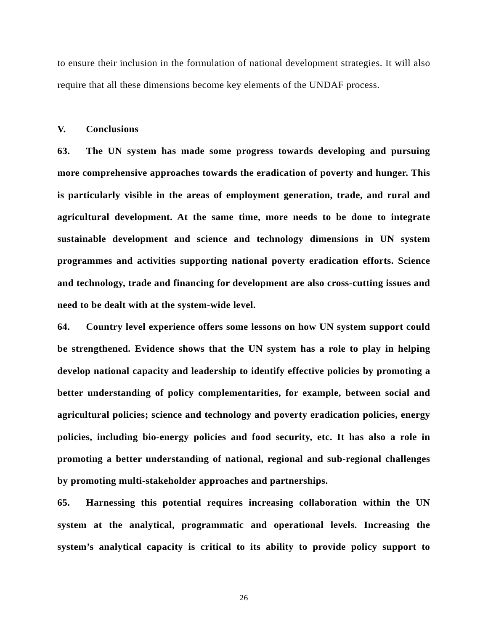to ensure their inclusion in the formulation of national development strategies. It will also require that all these dimensions become key elements of the UNDAF process.

### **V. Conclusions**

**63. The UN system has made some progress towards developing and pursuing more comprehensive approaches towards the eradication of poverty and hunger. This is particularly visible in the areas of employment generation, trade, and rural and agricultural development. At the same time, more needs to be done to integrate sustainable development and science and technology dimensions in UN system programmes and activities supporting national poverty eradication efforts. Science and technology, trade and financing for development are also cross-cutting issues and need to be dealt with at the system-wide level.**

**64. Country level experience offers some lessons on how UN system support could be strengthened. Evidence shows that the UN system has a role to play in helping develop national capacity and leadership to identify effective policies by promoting a better understanding of policy complementarities, for example, between social and agricultural policies; science and technology and poverty eradication policies, energy policies, including bio-energy policies and food security, etc. It has also a role in promoting a better understanding of national, regional and sub-regional challenges by promoting multi-stakeholder approaches and partnerships.** 

**65. Harnessing this potential requires increasing collaboration within the UN system at the analytical, programmatic and operational levels. Increasing the system's analytical capacity is critical to its ability to provide policy support to**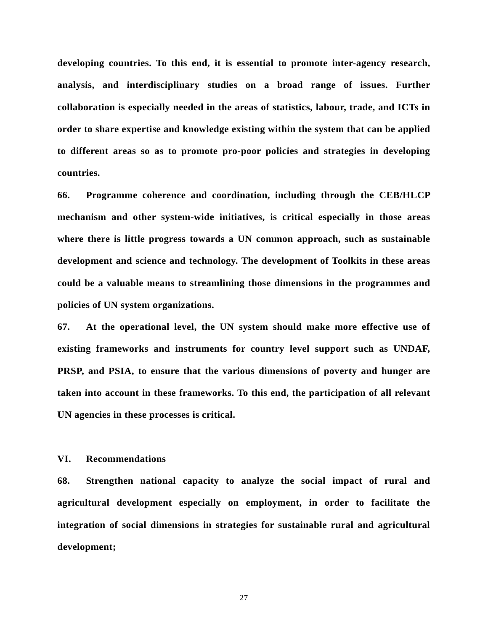**developing countries. To this end, it is essential to promote inter-agency research, analysis, and interdisciplinary studies on a broad range of issues. Further collaboration is especially needed in the areas of statistics, labour, trade, and ICTs in order to share expertise and knowledge existing within the system that can be applied to different areas so as to promote pro-poor policies and strategies in developing countries.** 

**66. Programme coherence and coordination, including through the CEB/HLCP mechanism and other system-wide initiatives, is critical especially in those areas where there is little progress towards a UN common approach, such as sustainable development and science and technology. The development of Toolkits in these areas could be a valuable means to streamlining those dimensions in the programmes and policies of UN system organizations.** 

**67. At the operational level, the UN system should make more effective use of existing frameworks and instruments for country level support such as UNDAF, PRSP, and PSIA, to ensure that the various dimensions of poverty and hunger are taken into account in these frameworks. To this end, the participation of all relevant UN agencies in these processes is critical.** 

### **VI. Recommendations**

**68. Strengthen national capacity to analyze the social impact of rural and agricultural development especially on employment, in order to facilitate the integration of social dimensions in strategies for sustainable rural and agricultural development;**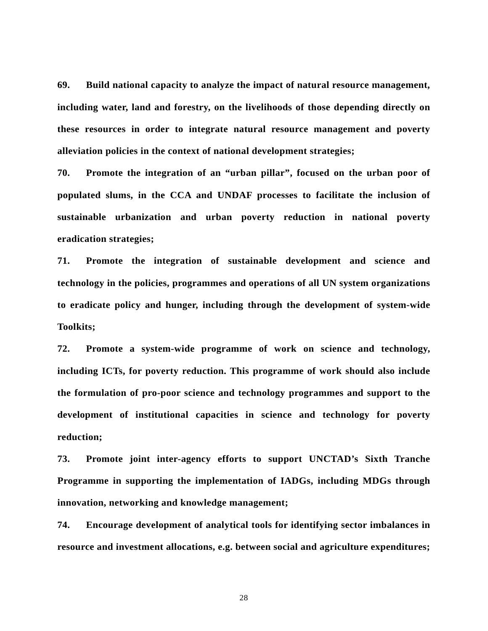**69. Build national capacity to analyze the impact of natural resource management, including water, land and forestry, on the livelihoods of those depending directly on these resources in order to integrate natural resource management and poverty alleviation policies in the context of national development strategies;** 

**70. Promote the integration of an "urban pillar", focused on the urban poor of populated slums, in the CCA and UNDAF processes to facilitate the inclusion of sustainable urbanization and urban poverty reduction in national poverty eradication strategies;**

**71. Promote the integration of sustainable development and science and technology in the policies, programmes and operations of all UN system organizations to eradicate policy and hunger, including through the development of system-wide Toolkits;** 

**72. Promote a system-wide programme of work on science and technology, including ICTs, for poverty reduction. This programme of work should also include the formulation of pro-poor science and technology programmes and support to the development of institutional capacities in science and technology for poverty reduction;**

**73. Promote joint inter-agency efforts to support UNCTAD's Sixth Tranche Programme in supporting the implementation of IADGs, including MDGs through innovation, networking and knowledge management;** 

**74. Encourage development of analytical tools for identifying sector imbalances in resource and investment allocations, e.g. between social and agriculture expenditures;**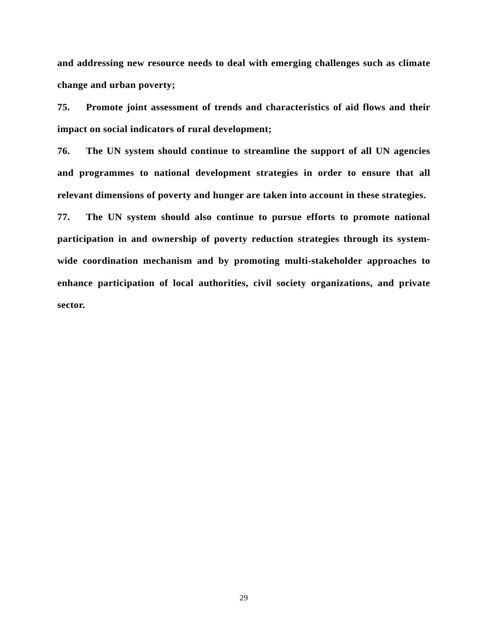**and addressing new resource needs to deal with emerging challenges such as climate change and urban poverty;** 

**75. Promote joint assessment of trends and characteristics of aid flows and their impact on social indicators of rural development;**

**76. The UN system should continue to streamline the support of all UN agencies and programmes to national development strategies in order to ensure that all relevant dimensions of poverty and hunger are taken into account in these strategies.** 

**77. The UN system should also continue to pursue efforts to promote national participation in and ownership of poverty reduction strategies through its systemwide coordination mechanism and by promoting multi-stakeholder approaches to enhance participation of local authorities, civil society organizations, and private sector.**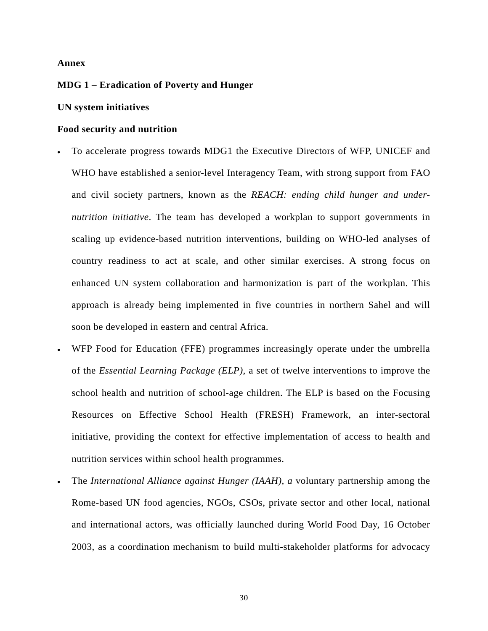### **Annex**

### **MDG 1 – Eradication of Poverty and Hunger**

### **UN system initiatives**

### **Food security and nutrition**

- To accelerate progress towards MDG1 the Executive Directors of WFP, UNICEF and WHO have established a senior-level Interagency Team, with strong support from FAO and civil society partners, known as the *REACH: ending child hunger and undernutrition initiative*. The team has developed a workplan to support governments in scaling up evidence-based nutrition interventions, building on WHO-led analyses of country readiness to act at scale, and other similar exercises. A strong focus on enhanced UN system collaboration and harmonization is part of the workplan. This approach is already being implemented in five countries in northern Sahel and will soon be developed in eastern and central Africa.
- WFP Food for Education (FFE) programmes increasingly operate under the umbrella of the *Essential Learning Package (ELP)*, a set of twelve interventions to improve the school health and nutrition of school-age children. The ELP is based on the Focusing Resources on Effective School Health (FRESH) Framework, an inter-sectoral initiative, providing the context for effective implementation of access to health and nutrition services within school health programmes.
- The *International Alliance against Hunger (IAAH), a* voluntary partnership among the Rome-based UN food agencies, NGOs, CSOs, private sector and other local, national and international actors, was officially launched during World Food Day, 16 October 2003, as a coordination mechanism to build multi-stakeholder platforms for advocacy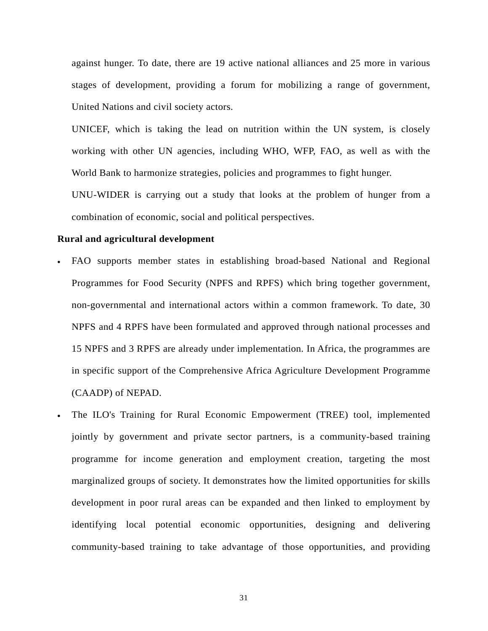against hunger. To date, there are 19 active national alliances and 25 more in various stages of development, providing a forum for mobilizing a range of government, United Nations and civil society actors.

UNICEF, which is taking the lead on nutrition within the UN system, is closely working with other UN agencies, including WHO, WFP, FAO, as well as with the World Bank to harmonize strategies, policies and programmes to fight hunger.

UNU-WIDER is carrying out a study that looks at the problem of hunger from a combination of economic, social and political perspectives.

### **Rural and agricultural development**

- FAO supports member states in establishing broad-based National and Regional Programmes for Food Security (NPFS and RPFS) which bring together government, non-governmental and international actors within a common framework. To date, 30 NPFS and 4 RPFS have been formulated and approved through national processes and 15 NPFS and 3 RPFS are already under implementation. In Africa, the programmes are in specific support of the Comprehensive Africa Agriculture Development Programme (CAADP) of NEPAD.
- The ILO's Training for Rural Economic Empowerment (TREE) tool, implemented jointly by government and private sector partners, is a community-based training programme for income generation and employment creation, targeting the most marginalized groups of society. It demonstrates how the limited opportunities for skills development in poor rural areas can be expanded and then linked to employment by identifying local potential economic opportunities, designing and delivering community-based training to take advantage of those opportunities, and providing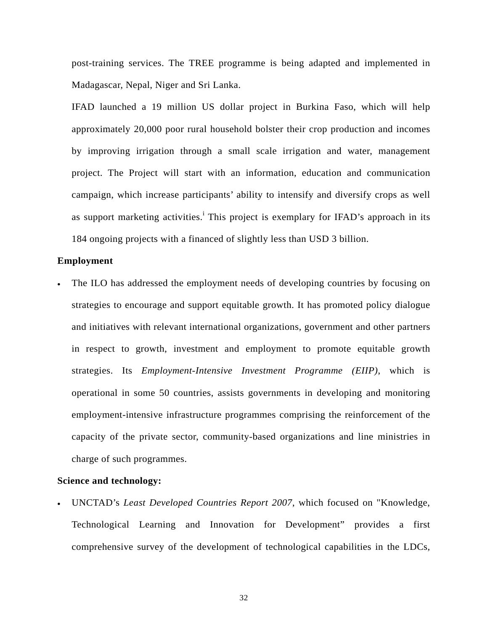post-training services. The TREE programme is being adapted and implemented in Madagascar, Nepal, Niger and Sri Lanka.

IFAD launched a 19 million US dollar project in Burkina Faso, which will help approximately 20,000 poor rural household bolster their crop production and incomes by improving irrigation through a small scale irrigation and water, management project. The Project will start with an information, education and communication campaign, which increase participants' ability to intensify and diversify crops as well as support market[i](#page-34-0)ng activities.<sup>i</sup> This project is exemplary for IFAD's approach in its 184 ongoing projects with a financed of slightly less than USD 3 billion.

### **Employment**

The ILO has addressed the employment needs of developing countries by focusing on strategies to encourage and support equitable growth. It has promoted policy dialogue and initiatives with relevant international organizations, government and other partners in respect to growth, investment and employment to promote equitable growth strategies. Its *Employment-Intensive Investment Programme (EIIP)*, which is operational in some 50 countries, assists governments in developing and monitoring employment-intensive infrastructure programmes comprising the reinforcement of the capacity of the private sector, community-based organizations and line ministries in charge of such programmes.

### **Science and technology:**

• UNCTAD's *Least Developed Countries Report 2007*, which focused on "Knowledge, Technological Learning and Innovation for Development" provides a first comprehensive survey of the development of technological capabilities in the LDCs,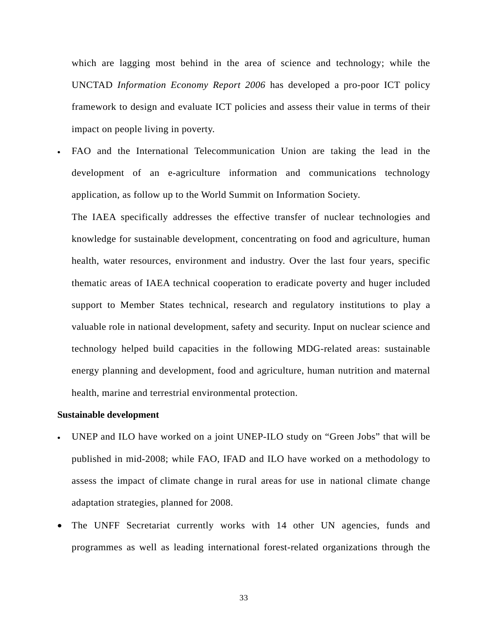which are lagging most behind in the area of science and technology; while the UNCTAD *Information Economy Report 2006* has developed a pro-poor ICT policy framework to design and evaluate ICT policies and assess their value in terms of their impact on people living in poverty.

• FAO and the International Telecommunication Union are taking the lead in the development of an e-agriculture information and communications technology application, as follow up to the World Summit on Information Society.

The IAEA specifically addresses the effective transfer of nuclear technologies and knowledge for sustainable development, concentrating on food and agriculture, human health, water resources, environment and industry. Over the last four years, specific thematic areas of IAEA technical cooperation to eradicate poverty and huger included support to Member States technical, research and regulatory institutions to play a valuable role in national development, safety and security. Input on nuclear science and technology helped build capacities in the following MDG-related areas: sustainable energy planning and development, food and agriculture, human nutrition and maternal health, marine and terrestrial environmental protection.

### **Sustainable development**

- UNEP and ILO have worked on a joint UNEP-ILO study on "Green Jobs" that will be published in mid-2008; while FAO, IFAD and ILO have worked on a methodology to assess the impact of climate change in rural areas for use in national climate change adaptation strategies, planned for 2008.
- The UNFF Secretariat currently works with 14 other UN agencies, funds and programmes as well as leading international forest-related organizations through the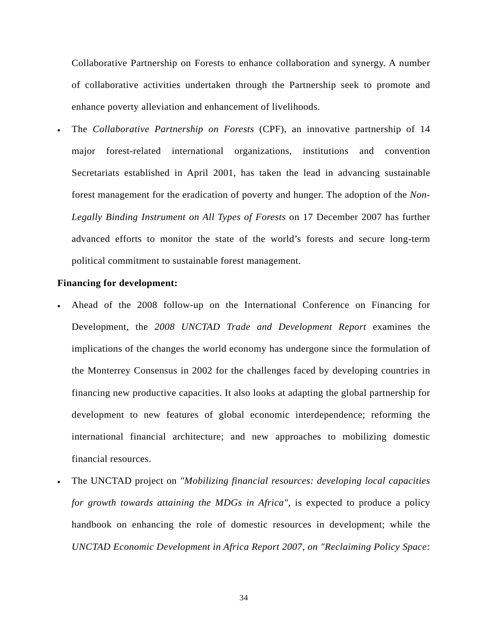Collaborative Partnership on Forests to enhance collaboration and synergy. A number of collaborative activities undertaken through the Partnership seek to promote and enhance poverty alleviation and enhancement of livelihoods.

• The *Collaborative Partnership on Forests* (CPF), an innovative partnership of 14 major forest-related international organizations, institutions and convention Secretariats established in April 2001, has taken the lead in advancing sustainable forest management for the eradication of poverty and hunger. The adoption of the *Non-Legally Binding Instrument on All Types of Forests* on 17 December 2007 has further advanced efforts to monitor the state of the world's forests and secure long-term political commitment to sustainable forest management.

### **Financing for development:**

- Ahead of the 2008 follow-up on the International Conference on Financing for Development, the *2008 UNCTAD Trade and Development Report* examines the implications of the changes the world economy has undergone since the formulation of the Monterrey Consensus in 2002 for the challenges faced by developing countries in financing new productive capacities. It also looks at adapting the global partnership for development to new features of global economic interdependence; reforming the international financial architecture; and new approaches to mobilizing domestic financial resources.
- The UNCTAD project on *"Mobilizing financial resources: developing local capacities for growth towards attaining the MDGs in Africa",* is expected to produce a policy handbook on enhancing the role of domestic resources in development; while the *UNCTAD Economic Development in Africa Report 2007, on "Reclaiming Policy Space:*